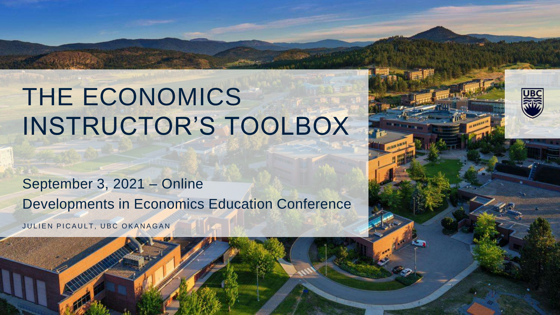# THE ECONOMICS INSTRUCTOR'S TOOLBOX

September 3, 2021 – Online Developments in Economics Education Conference

JULIEN PICAULT, UBC OKANAGAN

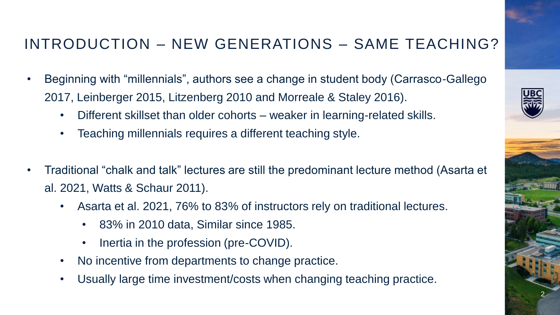### INTRODUCTION – NEW GENERATIONS – SAME TEACHING?

- Beginning with "millennials", authors see a change in student body (Carrasco-Gallego 2017, Leinberger 2015, Litzenberg 2010 and Morreale & Staley 2016).
	- Different skillset than older cohorts weaker in learning-related skills.
	- Teaching millennials requires a different teaching style.
- Traditional "chalk and talk" lectures are still the predominant lecture method (Asarta et al. 2021, Watts & Schaur 2011).
	- Asarta et al. 2021, 76% to 83% of instructors rely on traditional lectures.
		- 83% in 2010 data, Similar since 1985.
		- Inertia in the profession (pre-COVID).
	- No incentive from departments to change practice.
	- Usually large time investment/costs when changing teaching practice.

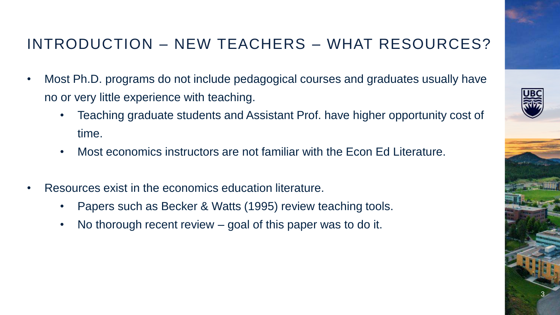## INTRODUCTION – NEW TEACHERS – WHAT RESOURCES?

- Most Ph.D. programs do not include pedagogical courses and graduates usually have no or very little experience with teaching.
	- Teaching graduate students and Assistant Prof. have higher opportunity cost of time.
	- Most economics instructors are not familiar with the Econ Ed Literature.
- Resources exist in the economics education literature.
	- Papers such as Becker & Watts (1995) review teaching tools.
	- No thorough recent review  $-$  goal of this paper was to do it.

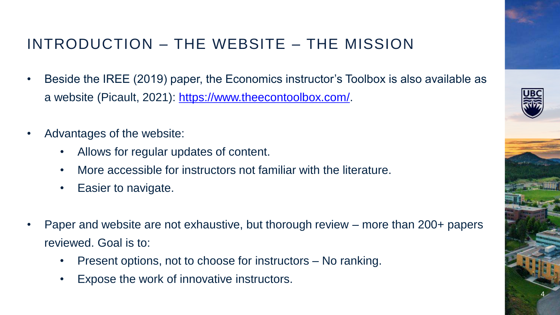### INTRODUCTION – THE WEBSITE – THE MISSION

- Beside the IREE (2019) paper, the Economics instructor's Toolbox is also available as a website (Picault, 2021): [https://www.theecontoolbox.com/.](https://www.theecontoolbox.com/)
- Advantages of the website:
	- Allows for regular updates of content.
	- More accessible for instructors not familiar with the literature.
	- Easier to navigate.
- Paper and website are not exhaustive, but thorough review more than 200+ papers reviewed. Goal is to:
	- Present options, not to choose for instructors No ranking.
	- Expose the work of innovative instructors.

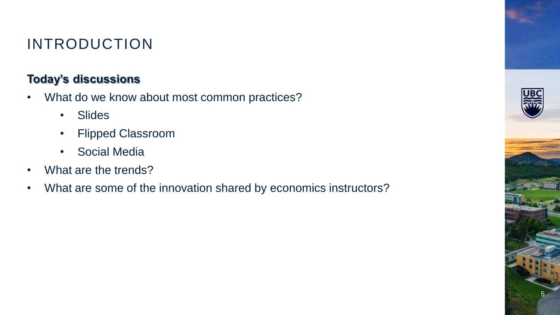## INTRODUCTION

### **Today's discussions**

- What do we know about most common practices?
	- Slides
	- Flipped Classroom
	- Social Media
- What are the trends?
- What are some of the innovation shared by economics instructors?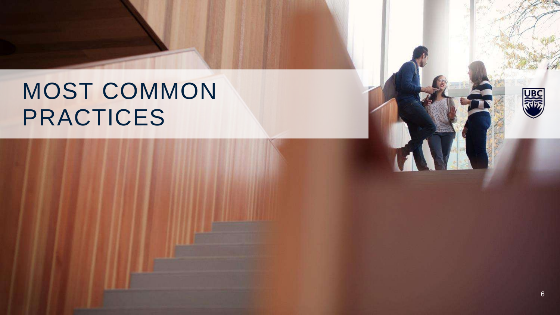## MOST COMMON PRACTICES

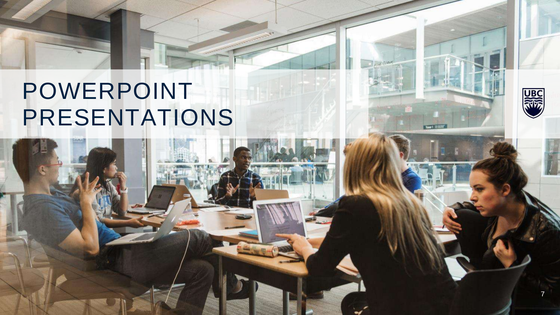## POWERPOINT PRESENTATIONS



器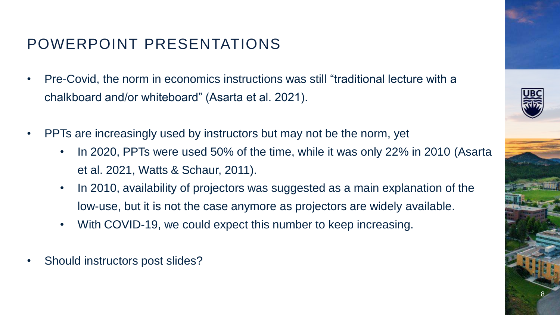### POWERPOINT PRESENTATIONS

- Pre-Covid, the norm in economics instructions was still "traditional lecture with a chalkboard and/or whiteboard" (Asarta et al. 2021).
- PPTs are increasingly used by instructors but may not be the norm, yet
	- In 2020, PPTs were used 50% of the time, while it was only 22% in 2010 (Asarta et al. 2021, Watts & Schaur, 2011).
	- In 2010, availability of projectors was suggested as a main explanation of the low-use, but it is not the case anymore as projectors are widely available.
	- With COVID-19, we could expect this number to keep increasing.
- Should instructors post slides?

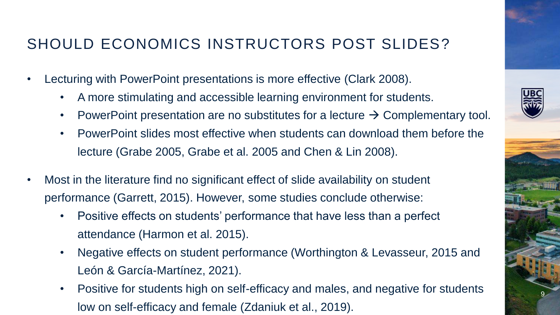### SHOULD ECONOMICS INSTRUCTORS POST SLIDES?

- Lecturing with PowerPoint presentations is more effective (Clark 2008).
	- A more stimulating and accessible learning environment for students.
	- PowerPoint presentation are no substitutes for a lecture  $\rightarrow$  Complementary tool.
	- PowerPoint slides most effective when students can download them before the lecture (Grabe 2005, Grabe et al. 2005 and Chen & Lin 2008).
- Most in the literature find no significant effect of slide availability on student performance (Garrett, 2015). However, some studies conclude otherwise:
	- Positive effects on students' performance that have less than a perfect attendance (Harmon et al. 2015).
	- Negative effects on student performance (Worthington & Levasseur, 2015 and León & García-Martínez, 2021).
	- Positive for students high on self-efficacy and males, and negative for students low on self-efficacy and female (Zdaniuk et al., 2019).

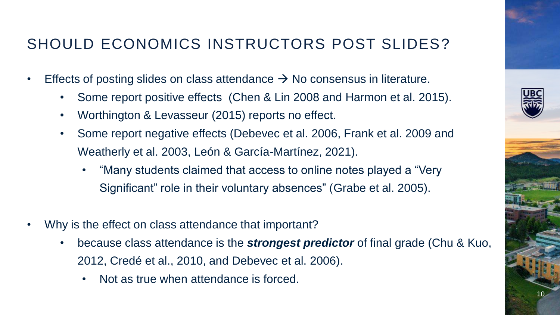### SHOULD ECONOMICS INSTRUCTORS POST SLIDES?

- Effects of posting slides on class attendance  $\rightarrow$  No consensus in literature.
	- Some report positive effects (Chen & Lin 2008 and Harmon et al. 2015).
	- Worthington & Levasseur (2015) reports no effect.
	- Some report negative effects (Debevec et al. 2006, Frank et al. 2009 and Weatherly et al. 2003, León & García-Martínez, 2021).
		- "Many students claimed that access to online notes played a "Very Significant" role in their voluntary absences" (Grabe et al. 2005).
- Why is the effect on class attendance that important?
	- because class attendance is the *strongest predictor* of final grade (Chu & Kuo, 2012, Credé et al., 2010, and Debevec et al. 2006).
		- Not as true when attendance is forced.

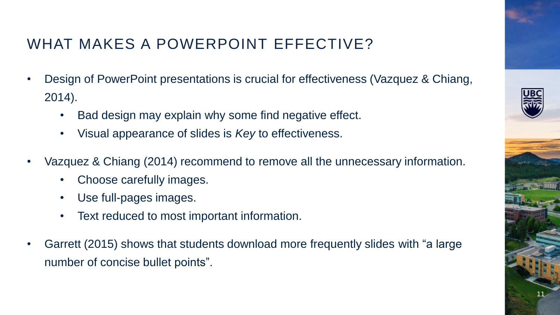## WHAT MAKES A POWERPOINT EFFECTIVE?

- Design of PowerPoint presentations is crucial for effectiveness (Vazquez & Chiang, 2014).
	- Bad design may explain why some find negative effect.
	- Visual appearance of slides is *Key* to effectiveness.
- Vazquez & Chiang (2014) recommend to remove all the unnecessary information.
	- Choose carefully images.
	- Use full-pages images.
	- Text reduced to most important information.
- Garrett (2015) shows that students download more frequently slides with "a large number of concise bullet points".

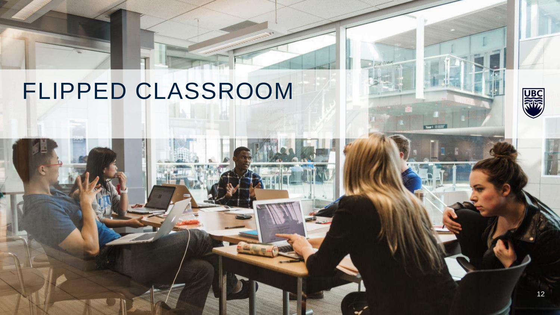## FLIPPED CLASSROOM

**UBC**<br>RWS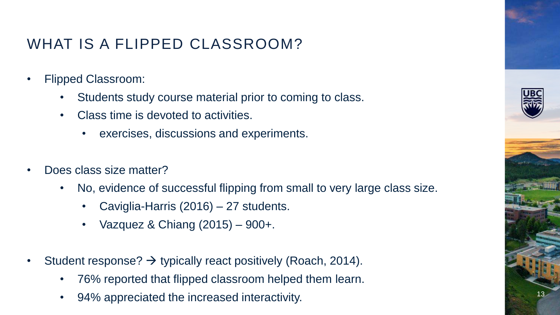### WHAT IS A FLIPPED CLASSROOM?

- Flipped Classroom:
	- Students study course material prior to coming to class.
	- Class time is devoted to activities.
		- exercises, discussions and experiments.
- Does class size matter?
	- No, evidence of successful flipping from small to very large class size.
		- Caviglia-Harris (2016) 27 students.
		- Vazquez & Chiang (2015) 900+.
- Student response?  $\rightarrow$  typically react positively (Roach, 2014).
	- 76% reported that flipped classroom helped them learn.
	- 94% appreciated the increased interactivity.



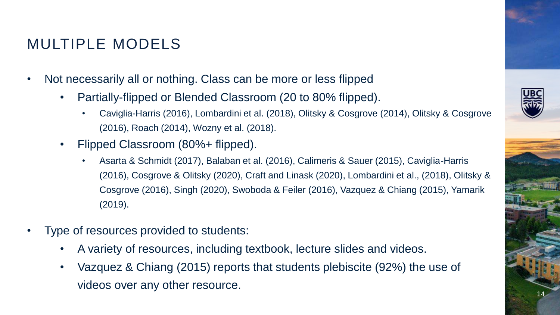### MULTIPLE MODELS

- Not necessarily all or nothing. Class can be more or less flipped
	- Partially-flipped or Blended Classroom (20 to 80% flipped).
		- Caviglia-Harris (2016), Lombardini et al. (2018), Olitsky & Cosgrove (2014), Olitsky & Cosgrove (2016), Roach (2014), Wozny et al. (2018).
	- Flipped Classroom (80%+ flipped).
		- Asarta & Schmidt (2017), Balaban et al. (2016), Calimeris & Sauer (2015), Caviglia-Harris (2016), Cosgrove & Olitsky (2020), Craft and Linask (2020), Lombardini et al., (2018), Olitsky & Cosgrove (2016), Singh (2020), Swoboda & Feiler (2016), Vazquez & Chiang (2015), Yamarik (2019).
- Type of resources provided to students:
	- A variety of resources, including textbook, lecture slides and videos.
	- Vazquez & Chiang (2015) reports that students plebiscite (92%) the use of videos over any other resource.

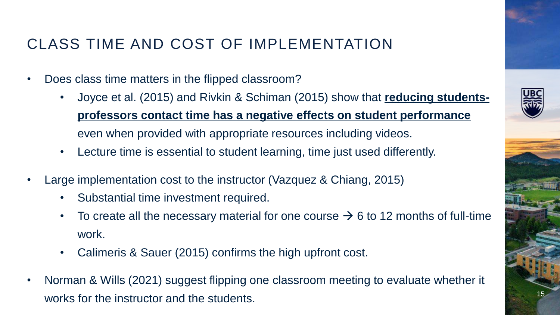### CLASS TIME AND COST OF IMPLEMENTATION

- Does class time matters in the flipped classroom?
	- Joyce et al. (2015) and Rivkin & Schiman (2015) show that **reducing studentsprofessors contact time has a negative effects on student performance**  even when provided with appropriate resources including videos.
	- Lecture time is essential to student learning, time just used differently.
- Large implementation cost to the instructor (Vazquez & Chiang, 2015)
	- Substantial time investment required.
	- To create all the necessary material for one course  $\rightarrow$  6 to 12 months of full-time work.
	- Calimeris & Sauer (2015) confirms the high upfront cost.
- Norman & Wills (2021) suggest flipping one classroom meeting to evaluate whether it works for the instructor and the students.

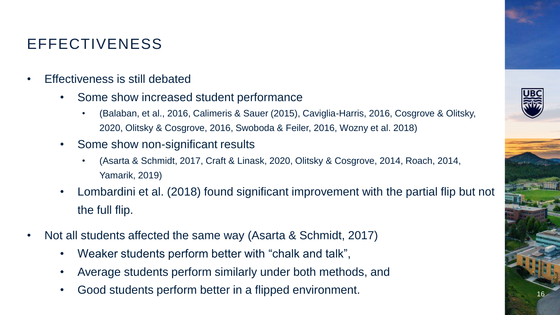### EFFECTIVENESS

- Effectiveness is still debated
	- Some show increased student performance
		- (Balaban, et al., 2016, Calimeris & Sauer (2015), Caviglia-Harris, 2016, Cosgrove & Olitsky, 2020, Olitsky & Cosgrove, 2016, Swoboda & Feiler, 2016, Wozny et al. 2018)
	- Some show non-significant results
		- (Asarta & Schmidt, 2017, Craft & Linask, 2020, Olitsky & Cosgrove, 2014, Roach, 2014, Yamarik, 2019)
	- Lombardini et al. (2018) found significant improvement with the partial flip but not the full flip.
- Not all students affected the same way (Asarta & Schmidt, 2017)
	- Weaker students perform better with "chalk and talk",
	- Average students perform similarly under both methods, and
	- Good students perform better in a flipped environment.

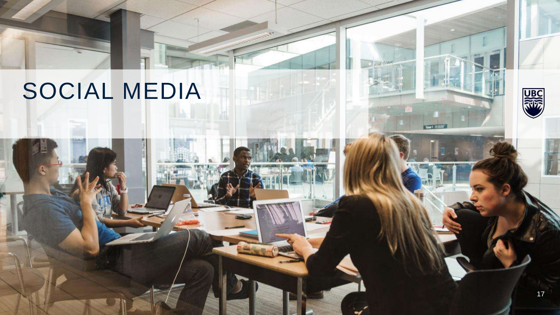## SOCIAL MEDIA

17

器

Town<sup>1</sup>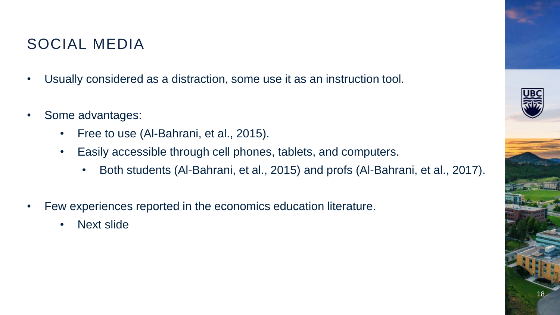### SOCIAL MEDIA

- Usually considered as a distraction, some use it as an instruction tool.
- Some advantages:
	- Free to use (Al-Bahrani, et al., 2015).
	- Easily accessible through cell phones, tablets, and computers.
		- Both students (Al-Bahrani, et al., 2015) and profs (Al-Bahrani, et al., 2017).
- Few experiences reported in the economics education literature.
	- Next slide

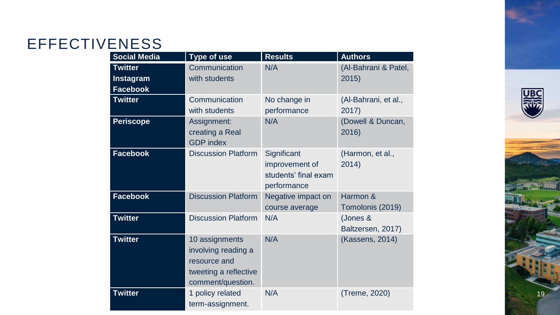## **EFFECTIVENESS**

| <b>Social Media</b>                            | Type of use                                                                                         | <b>Results</b>                                                       | <b>Authors</b>                |
|------------------------------------------------|-----------------------------------------------------------------------------------------------------|----------------------------------------------------------------------|-------------------------------|
| <b>Twitter</b><br>Instagram<br><b>Facebook</b> | Communication<br>with students                                                                      | N/A                                                                  | (Al-Bahrani & Patel,<br>2015) |
| <b>Twitter</b>                                 | Communication<br>with students                                                                      | No change in<br>performance                                          | (Al-Bahrani, et al.,<br>2017) |
| <b>Periscope</b>                               | Assignment:<br>creating a Real<br><b>GDP</b> index                                                  | N/A                                                                  | (Dowell & Duncan,<br>2016)    |
| <b>Facebook</b>                                | <b>Discussion Platform</b>                                                                          | Significant<br>improvement of<br>students' final exam<br>performance | (Harmon, et al.,<br>2014)     |
| <b>Facebook</b>                                | <b>Discussion Platform</b>                                                                          | Negative impact on<br>course average                                 | Harmon &<br>Tomolonis (2019)  |
| <b>Twitter</b>                                 | <b>Discussion Platform</b>                                                                          | N/A                                                                  | (Jones &<br>Baltzersen, 2017) |
| <b>Twitter</b>                                 | 10 assignments<br>involving reading a<br>resource and<br>tweeting a reflective<br>comment/question. | N/A                                                                  | (Kassens, 2014)               |
| <b>Twitter</b>                                 | 1 policy related<br>term-assignment.                                                                | N/A                                                                  | (Treme, 2020)                 |



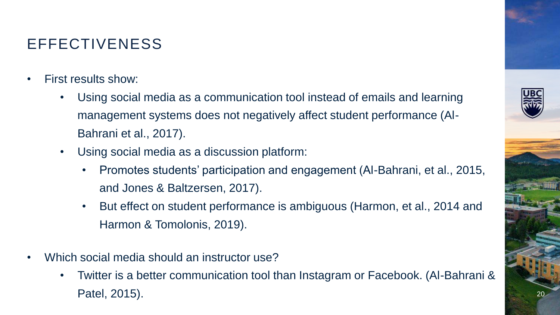### EFFECTIVENESS

- First results show:
	- Using social media as a communication tool instead of emails and learning management systems does not negatively affect student performance (Al-Bahrani et al., 2017).
	- Using social media as a discussion platform:
		- Promotes students' participation and engagement (Al-Bahrani, et al., 2015, and Jones & Baltzersen, 2017).
		- But effect on student performance is ambiguous (Harmon, et al., 2014 and Harmon & Tomolonis, 2019).
- Which social media should an instructor use?
	- Twitter is a better communication tool than Instagram or Facebook. (Al-Bahrani & Patel, 2015).

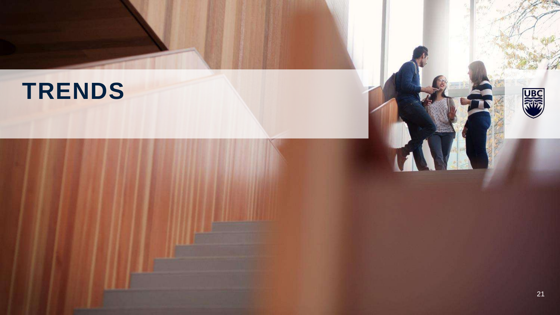## **TRENDS**

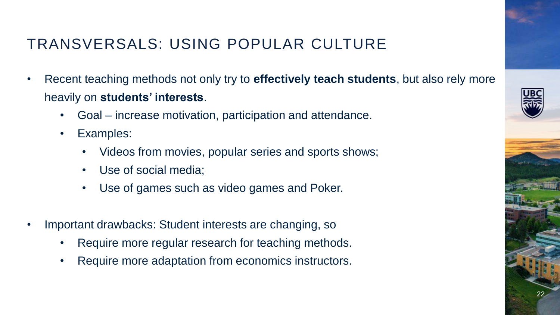## TRANSVERSALS: USING POPULAR CULTURE

- Recent teaching methods not only try to **effectively teach students**, but also rely more heavily on **students' interests**.
	- Goal increase motivation, participation and attendance.
	- Examples:
		- Videos from movies, popular series and sports shows;
		- Use of social media;
		- Use of games such as video games and Poker.
- Important drawbacks: Student interests are changing, so
	- Require more regular research for teaching methods.
	- Require more adaptation from economics instructors.



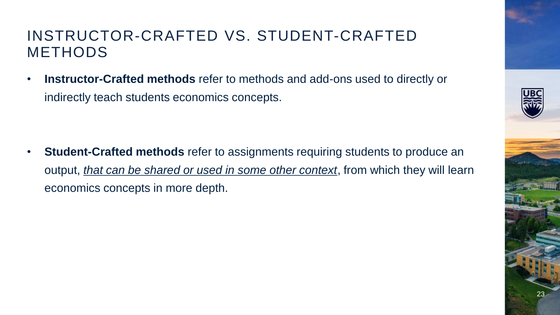### INSTRUCTOR-CRAFTED VS. STUDENT-CRAFTED METHODS

• **Instructor-Crafted methods** refer to methods and add-ons used to directly or indirectly teach students economics concepts.

**Student-Crafted methods** refer to assignments requiring students to produce an output, *that can be shared or used in some other context*, from which they will learn economics concepts in more depth.

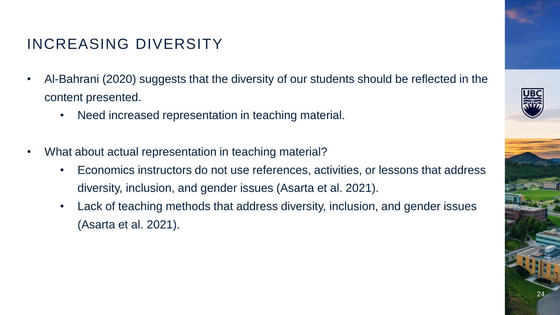### INCREASING DIVERSITY

- Al-Bahrani (2020) suggests that the diversity of our students should be reflected in the content presented.
	- Need increased representation in teaching material.
- What about actual representation in teaching material?
	- Economics instructors do not use references, activities, or lessons that address diversity, inclusion, and gender issues (Asarta et al. 2021).
	- Lack of teaching methods that address diversity, inclusion, and gender issues (Asarta et al. 2021).

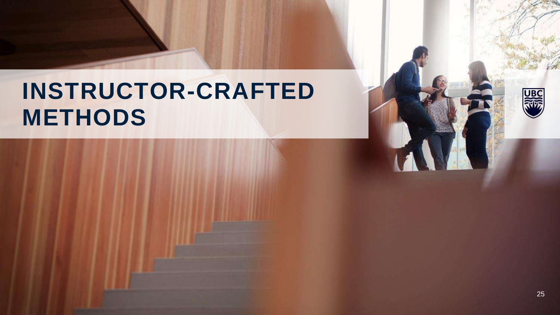## **INSTRUCTOR-CRAFTED METHODS**

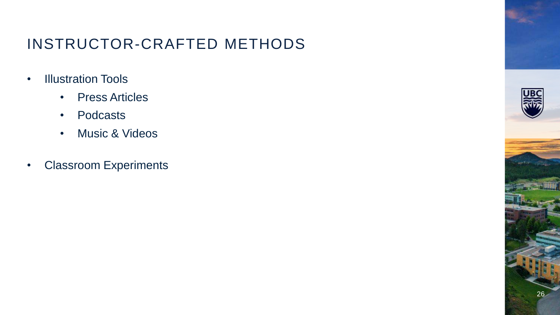### INSTRUCTOR-CRAFTED METHODS

- Illustration Tools
	- Press Articles
	- Podcasts
	- Music & Videos
- Classroom Experiments

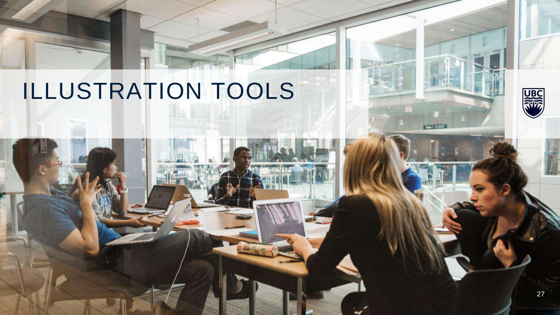# ILLUSTRATION TOOLS

**ARS**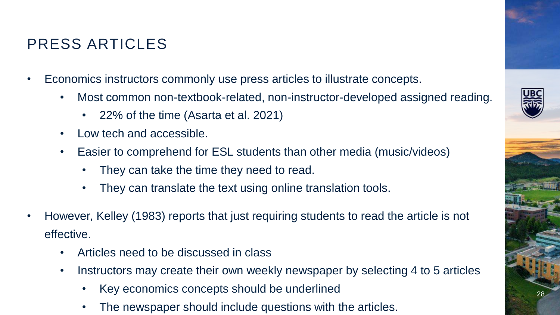- Economics instructors commonly use press articles to illustrate concepts.
	- Most common non-textbook-related, non-instructor-developed assigned reading.
		- 22% of the time (Asarta et al. 2021)
	- Low tech and accessible.

PRESS ARTICLES

- Easier to comprehend for ESL students than other media (music/videos)
	- They can take the time they need to read.
	- They can translate the text using online translation tools.
- However, Kelley (1983) reports that just requiring students to read the article is not effective.
	- Articles need to be discussed in class
	- Instructors may create their own weekly newspaper by selecting 4 to 5 articles
		- Key economics concepts should be underlined
		- The newspaper should include questions with the articles.



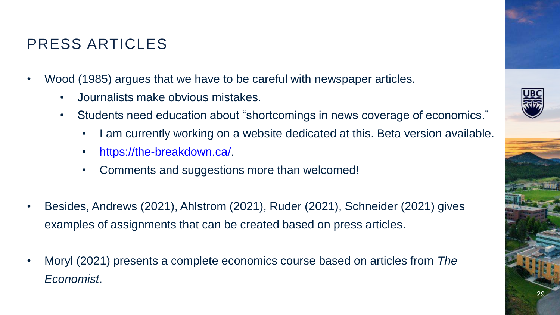### PRESS ARTICLES

- Wood (1985) argues that we have to be careful with newspaper articles.
	- Journalists make obvious mistakes.
	- Students need education about "shortcomings in news coverage of economics."
		- I am currently working on a website dedicated at this. Beta version available.
		- [https://the-breakdown.ca/.](https://the-breakdown.ca/)
		- Comments and suggestions more than welcomed!
- Besides, Andrews (2021), Ahlstrom (2021), Ruder (2021), Schneider (2021) gives examples of assignments that can be created based on press articles.
- Moryl (2021) presents a complete economics course based on articles from *The Economist*.



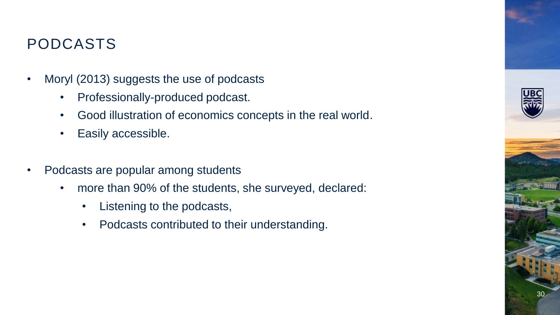### PODCASTS

- Moryl (2013) suggests the use of podcasts
	- Professionally-produced podcast.
	- Good illustration of economics concepts in the real world.
	- Easily accessible.
- Podcasts are popular among students
	- more than 90% of the students, she surveyed, declared:
		- Listening to the podcasts,
		- Podcasts contributed to their understanding.

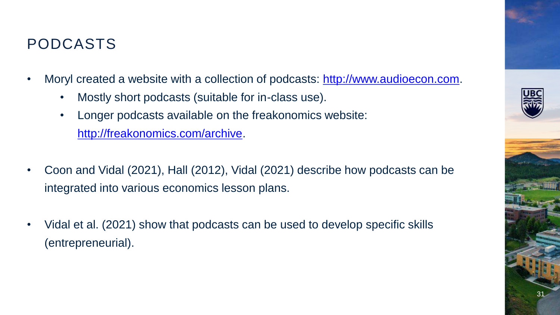### PODCASTS

- Moryl created a website with a collection of podcasts: [http://www.audioecon.com.](http://www.audioecon.com/)
	- Mostly short podcasts (suitable for in-class use).
	- Longer podcasts available on the freakonomics website: [http://freakonomics.com/archive.](http://freakonomics.com/archive)
- Coon and Vidal (2021), Hall (2012), Vidal (2021) describe how podcasts can be integrated into various economics lesson plans.
- Vidal et al. (2021) show that podcasts can be used to develop specific skills (entrepreneurial).



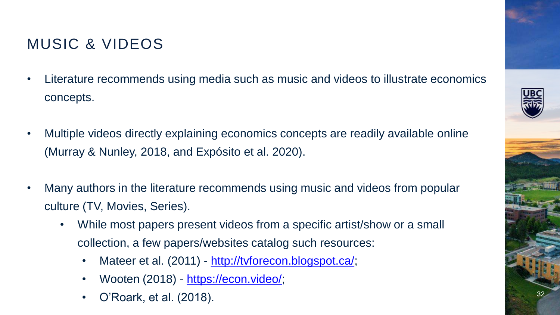### MUSIC & VIDEOS

- Literature recommends using media such as music and videos to illustrate economics concepts.
- Multiple videos directly explaining economics concepts are readily available online (Murray & Nunley, 2018, and Expósito et al. 2020).
- Many authors in the literature recommends using music and videos from popular culture (TV, Movies, Series).
	- While most papers present videos from a specific artist/show or a small collection, a few papers/websites catalog such resources:
		- Mateer et al. (2011) [http://tvforecon.blogspot.ca/;](http://tvforecon.blogspot.ca/)
		- Wooten (2018) <https://econ.video/>;
		- O'Roark, et al. (2018).

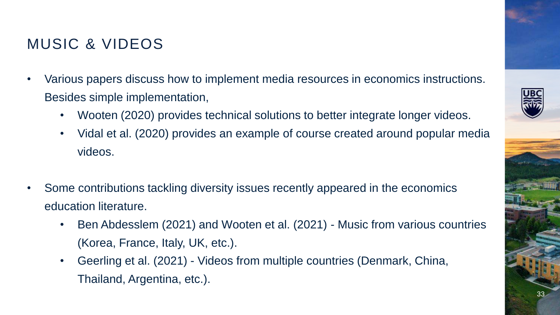### MUSIC & VIDEOS

- Various papers discuss how to implement media resources in economics instructions. Besides simple implementation,
	- Wooten (2020) provides technical solutions to better integrate longer videos.
	- Vidal et al. (2020) provides an example of course created around popular media videos.
- Some contributions tackling diversity issues recently appeared in the economics education literature.
	- Ben Abdesslem (2021) and Wooten et al. (2021) Music from various countries (Korea, France, Italy, UK, etc.).
	- Geerling et al. (2021) Videos from multiple countries (Denmark, China, Thailand, Argentina, etc.).



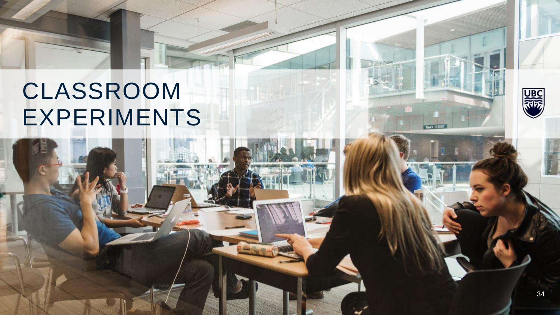

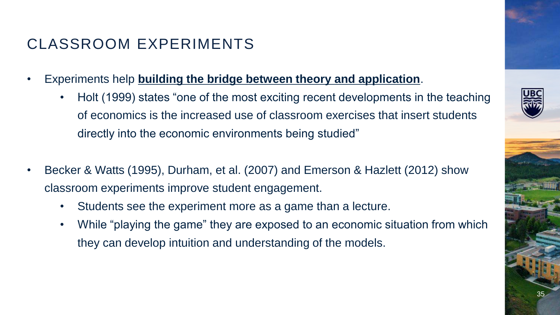- Experiments help **building the bridge between theory and application**.
	- Holt (1999) states "one of the most exciting recent developments in the teaching of economics is the increased use of classroom exercises that insert students directly into the economic environments being studied"
- Becker & Watts (1995), Durham, et al. (2007) and Emerson & Hazlett (2012) show classroom experiments improve student engagement.
	- Students see the experiment more as a game than a lecture.
	- While "playing the game" they are exposed to an economic situation from which they can develop intuition and understanding of the models.

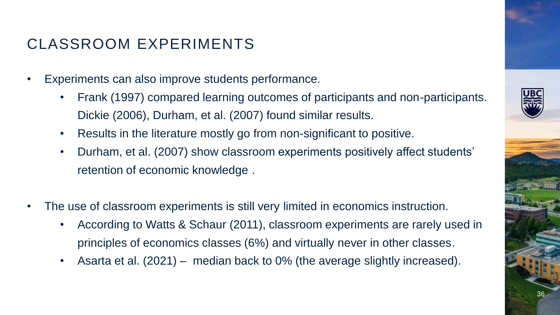- Experiments can also improve students performance.
	- Frank (1997) compared learning outcomes of participants and non-participants. Dickie (2006), Durham, et al. (2007) found similar results.
	- Results in the literature mostly go from non-significant to positive.
	- Durham, et al. (2007) show classroom experiments positively affect students' retention of economic knowledge .
- The use of classroom experiments is still very limited in economics instruction.
	- According to Watts & Schaur (2011), classroom experiments are rarely used in principles of economics classes (6%) and virtually never in other classes.
	- Asarta et al. (2021) median back to 0% (the average slightly increased).



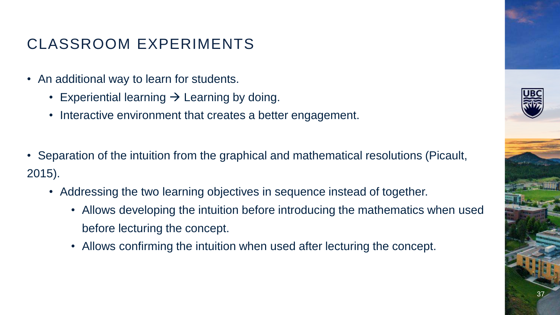- An additional way to learn for students.
	- Experiential learning  $\rightarrow$  Learning by doing.
	- Interactive environment that creates a better engagement.
- Separation of the intuition from the graphical and mathematical resolutions (Picault, 2015).
	- Addressing the two learning objectives in sequence instead of together.
		- Allows developing the intuition before introducing the mathematics when used before lecturing the concept.
		- Allows confirming the intuition when used after lecturing the concept.



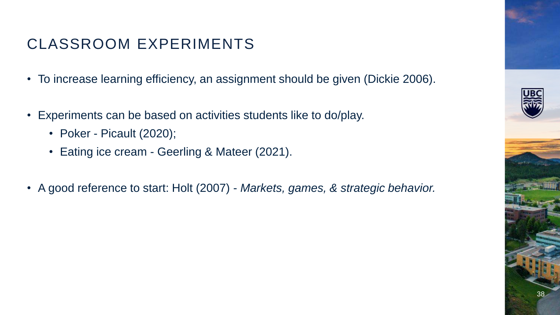- To increase learning efficiency, an assignment should be given (Dickie 2006).
- Experiments can be based on activities students like to do/play.
	- Poker Picault (2020);
	- Eating ice cream Geerling & Mateer (2021).
- A good reference to start: Holt (2007) *Markets, games, & strategic behavior.*

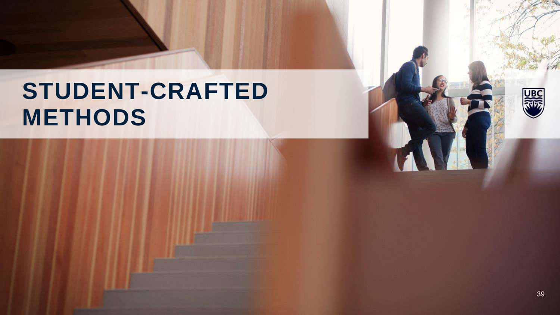## **STUDENT-CRAFTED METHODS**

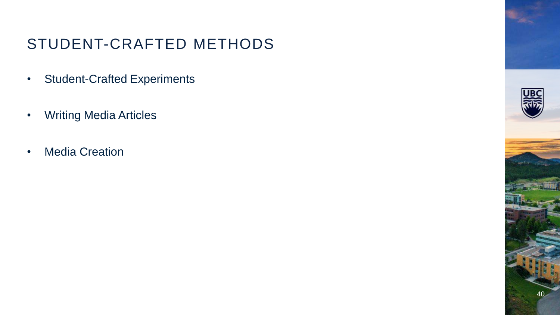### STUDENT-CRAFTED METHODS

- Student-Crafted Experiments
- Writing Media Articles
- Media Creation

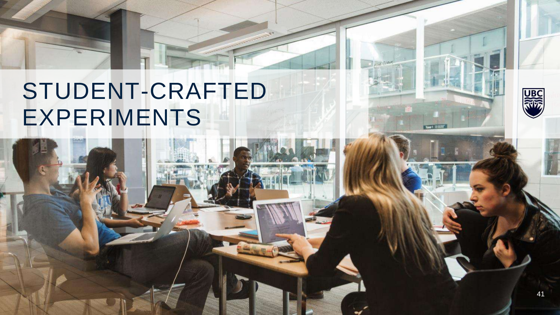## STUDENT-CRAFTED EXPERIMENTS



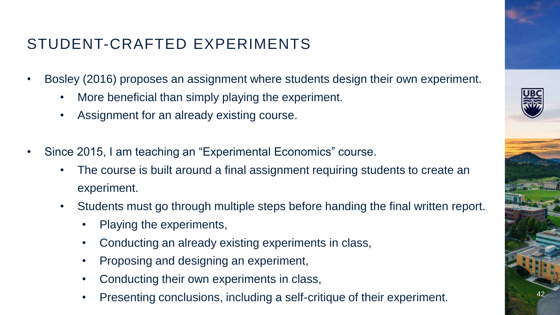### STUDENT-CRAFTED EXPERIMENTS

- Bosley (2016) proposes an assignment where students design their own experiment.
	- More beneficial than simply playing the experiment.
	- Assignment for an already existing course.
- Since 2015, I am teaching an "Experimental Economics" course.
	- The course is built around a final assignment requiring students to create an experiment.
	- Students must go through multiple steps before handing the final written report.
		- Playing the experiments,
		- Conducting an already existing experiments in class,
		- Proposing and designing an experiment,
		- Conducting their own experiments in class,
		- Presenting conclusions, including a self-critique of their experiment.



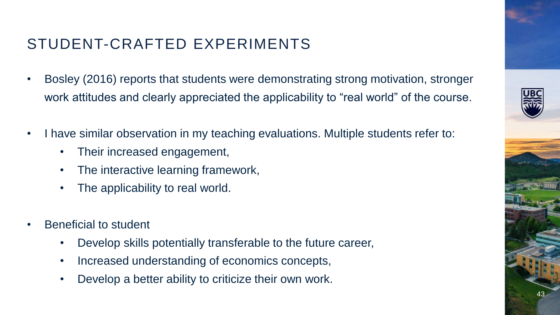### STUDENT-CRAFTED EXPERIMENTS

- Bosley (2016) reports that students were demonstrating strong motivation, stronger work attitudes and clearly appreciated the applicability to "real world" of the course.
- I have similar observation in my teaching evaluations. Multiple students refer to:
	- Their increased engagement,
	- The interactive learning framework,
	- The applicability to real world.
- Beneficial to student
	- Develop skills potentially transferable to the future career,
	- Increased understanding of economics concepts,
	- Develop a better ability to criticize their own work.

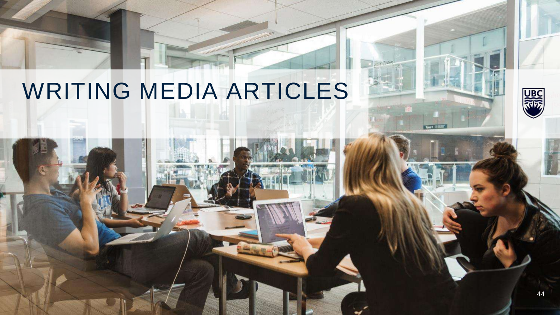## WRITING MEDIA ARTICLES



U<sub>B</sub>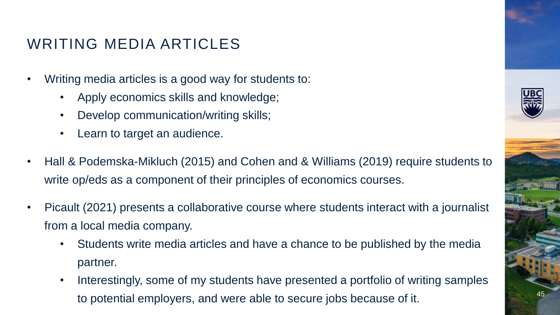### WRITING MEDIA ARTICLES

- Writing media articles is a good way for students to:
	- Apply economics skills and knowledge;
	- Develop communication/writing skills;
	- Learn to target an audience.
- Hall & Podemska-Mikluch (2015) and Cohen and & Williams (2019) require students to write op/eds as a component of their principles of economics courses.
- Picault (2021) presents a collaborative course where students interact with a journalist from a local media company.
	- Students write media articles and have a chance to be published by the media partner.
	- Interestingly, some of my students have presented a portfolio of writing samples to potential employers, and were able to secure jobs because of it.

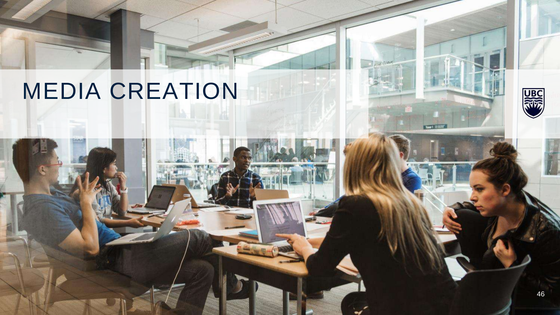## MEDIA CREATION



**UBC**<br>RWS

Tower1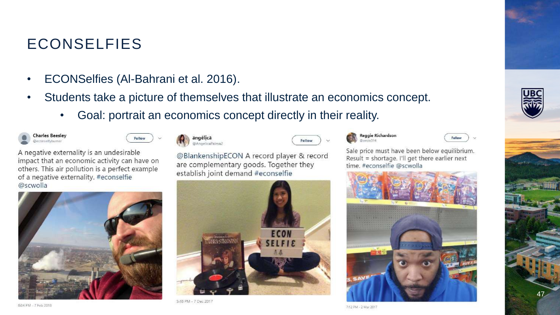### ECONSELFIES

- ECONSelfies (Al-Bahrani et al. 2016).
- Students take a picture of themselves that illustrate an economics concept.
	- Goal: portrait an economics concept directly in their reality.





A negative externality is an undesirable impact that an economic activity can have on others. This air pollution is a perfect example of a negative externality. #econselfie @scwolla





| ängêlică      |
|---------------|
| @AngelicaPalm |

@BlankenshipECON A record player & record are complementary goods. Together they establish joint demand #econselfie



5:48 PM - 7 Dec 2017



Felley

### Reggie Richardson  $m = 314$



Sale price must have been below equilibrium. Result = shortage. I'll get there earlier next time, #econselfie @scwolla







47

7:12 PM - 2 Mar 2017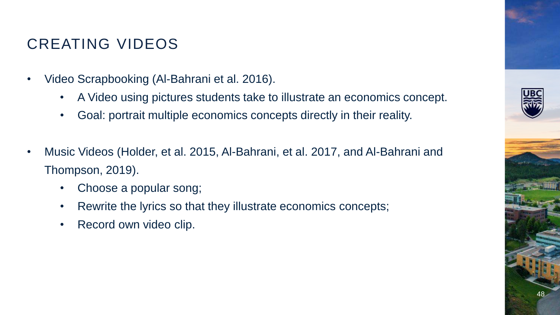### CREATING VIDEOS

- Video Scrapbooking (Al-Bahrani et al. 2016).
	- A Video using pictures students take to illustrate an economics concept.
	- Goal: portrait multiple economics concepts directly in their reality.
- Music Videos (Holder, et al. 2015, Al-Bahrani, et al. 2017, and Al-Bahrani and Thompson, 2019).
	- Choose a popular song;
	- Rewrite the lyrics so that they illustrate economics concepts;
	- Record own video clip.

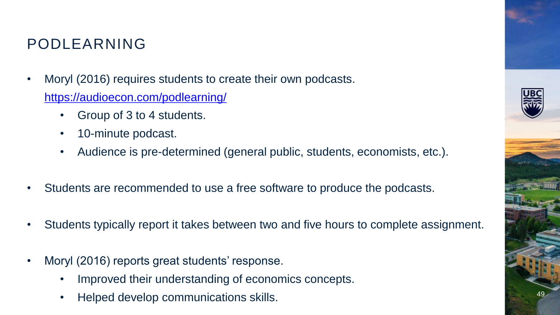### PODLEARNING

- Moryl (2016) requires students to create their own podcasts. <https://audioecon.com/podlearning/>
	- Group of 3 to 4 students.
	- 10-minute podcast.
	- Audience is pre-determined (general public, students, economists, etc.).
- Students are recommended to use a free software to produce the podcasts.
- Students typically report it takes between two and five hours to complete assignment.
- Moryl (2016) reports great students' response.
	- Improved their understanding of economics concepts.
	- Helped develop communications skills.